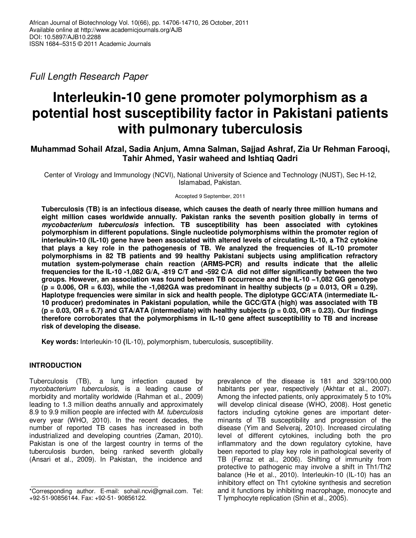*Full Length Research Paper*

# **Interleukin-10 gene promoter polymorphism as a potential host susceptibility factor in Pakistani patients with pulmonary tuberculosis**

## **Muhammad Sohail Afzal, Sadia Anjum, Amna Salman, Sajjad Ashraf, Zia Ur Rehman Farooqi, Tahir Ahmed, Yasir waheed and Ishtiaq Qadri**

Center of Virology and Immunology (NCVI), National University of Science and Technology (NUST), Sec H-12, Islamabad, Pakistan.

Accepted 9 September, 2011

**Tuberculosis (TB) is an infectious disease, which causes the death of nearly three million humans and eight million cases worldwide annually. Pakistan ranks the seventh position globally in terms of mycobacterium tuberculosis infection. TB susceptibility has been associated with cytokines polymorphism in different populations. Single nucleotide polymorphisms within the promoter region of interleukin-10 (IL-10) gene have been associated with altered levels of circulating IL-10, a Th2 cytokine that plays a key role in the pathogenesis of TB. We analyzed the frequencies of IL-10 promoter polymorphisms in 82 TB patients and 99 healthy Pakistani subjects using amplification refractory mutation system-polymerase chain reaction (ARMS-PCR) and results indicate that the allelic frequencies for the IL-10 -1,082 G/A, -819 C/T and -592 C/A did not differ significantly between the two groups. However, an association was found between TB occurrence and the IL-10 −1,082 GG genotype**   $(p = 0.006, \text{ OR } = 6.03)$ , while the -1,082GA was predominant in healthy subjects ( $p = 0.013, \text{ OR } = 0.29$ ). **Haplotype frequencies were similar in sick and health people. The diplotype GCC/ATA (intermediate IL-10 producer) predominates in Pakistani population, while the GCC/GTA (high) was associated with TB (p = 0.03, OR = 6.7) and GTA/ATA (intermediate) with healthy subjects (p = 0.03, OR = 0.23). Our findings therefore corroborates that the polymorphisms in IL-10 gene affect susceptibility to TB and increase risk of developing the disease.** 

**Key words:** Interleukin-10 **(**IL-10), polymorphism, tuberculosis, susceptibility.

## **INTRODUCTION**

Tuberculosis (TB), a lung infection caused by *mycobacterium tuberculosis*, is a leading cause of morbidity and mortality worldwide (Rahman et al., 2009) leading to 1.3 million deaths annually and approximately 8.9 to 9.9 million people are infected with *M. tuberculosis* every year (WHO, 2010). In the recent decades, the number of reported TB cases has increased in both industrialized and developing countries (Zaman, 2010). Pakistan is one of the largest country in terms of the tuberculosis burden, being ranked seventh globally (Ansari et al., 2009). In Pakistan, the incidence and

prevalence of the disease is 181 and 329/100,000 habitants per year, respectively (Akhtar et al., 2007). Among the infected patients, only approximately 5 to 10% will develop clinical disease (WHO, 2008). Host genetic factors including cytokine genes are important determinants of TB susceptibility and progression of the disease (Yim and Selveraj, 2010). Increased circulating level of different cytokines, including both the pro inflammatory and the down regulatory cytokine, have been reported to play key role in pathological severity of TB (Ferraz et al., 2006). Shifting of immunity from protective to pathogenic may involve a shift in Th1/Th2 balance (He et al., 2010). Interleukin-10 (IL-10) has an inhibitory effect on Th1 cytokine synthesis and secretion and it functions by inhibiting macrophage, monocyte and T lymphocyte replication (Shin et al., 2005).

<sup>\*</sup>Corresponding author. E-mail: sohail.ncvi@gmail.com. Tel: +92-51-90856144. Fax: +92-51- 90856122.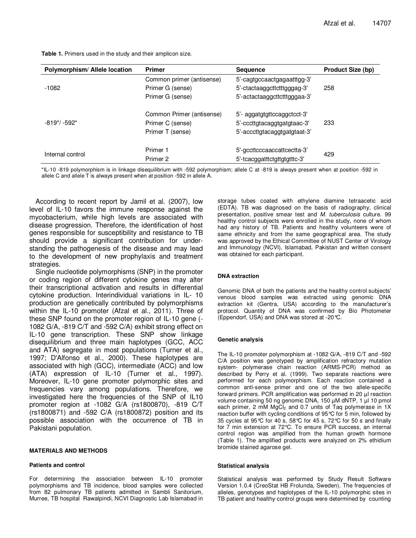**Table 1.** Primers used in the study and their amplicon size.

| Polymorphism/Allele location              | <b>Primer</b>             | <b>Sequence</b>              | <b>Product Size (bp)</b> |  |
|-------------------------------------------|---------------------------|------------------------------|--------------------------|--|
|                                           | Common primer (antisense) | 5'-cagtgccaactgagaatttgg-3'  |                          |  |
| $-1082$                                   | Primer G (sense)          | 5'-ctactaaggcttctttgggag-3'  | 258                      |  |
|                                           | Primer G (sense)          | 5'-actactaaggcttctttgggaa-3' |                          |  |
| $-819$ <sup>*</sup> / $-592$ <sup>*</sup> | Common Primer (antisense) | 5'- aggatgtgttccaggctcct-3'  | 233                      |  |
|                                           | Primer C (sense)          | 5'-cccttgtacaggtgatgtaac-3'  |                          |  |
|                                           | Primer T (sense)          | 5'-acccttgtacaggtgatgtaat-3' |                          |  |
| Internal control                          | Primer 1                  | 5'-gccttcccaaccattcectta-3'  | 429                      |  |
|                                           | Primer 2                  | 5'-tcacggatttctgttgtgtttc-3' |                          |  |

\*IL-10 -819 polymorphism is in linkage disequilibrium with -592 polymorphism; allele C at -819 is always present when at position -592 in allele C and allele T is always present when at position -592 in allele A.

According to recent report by Jamil et al. (2007), low level of IL-10 favors the immune response against the mycobacterium, while high levels are associated with disease progression. Therefore, the identification of host genes responsible for susceptibility and resistance to TB should provide a significant contribution for understanding the pathogenesis of the disease and may lead to the development of new prophylaxis and treatment strategies.

Single nucleotide polymorphisms (SNP) in the promoter or coding region of different cytokine genes may alter their transcriptional activation and results in differential cytokine production. Interindividual variations in IL- 10 production are genetically contributed by polymorphisms within the IL-10 promoter (Afzal et al., 2011). Three of these SNP found on the promoter region of IL-10 gene (- 1082 G/A, -819 C/T and -592 C/A) exhibit strong effect on IL-10 gene transcription. These SNP show linkage disequilibrium and three main haplotypes (GCC, ACC and ATA) segregate in most populations (Turner et al., 1997; D'Alfonso et al., 2000). These haplotypes are associated with high (GCC), intermediate (ACC) and low (ATA) expression of IL-10 (Turner et al., 1997). Moreover, IL-10 gene promoter polymorphic sites and frequencies vary among populations. Therefore, we investigated here the frequencies of the SNP of IL10 promoter region at -1082 G/A (rs1800870), -819 C/T (rs1800871) and -592 C/A (rs1800872) position and its possible association with the occurrence of TB in Pakistani population.

#### **MATERIALS AND METHODS**

#### **Patients and control**

For determining the association between IL-10 promoter polymorphisms and TB incidence, blood samples were collected from 82 pulmonary TB patients admitted in Sambli Sanitorium, Murree, TB hospital Rawalpindi, NCVI Diagnostic Lab Islamabad in

storage tubes coated with ethylene diamine tetraacetic acid (EDTA). TB was diagnosed on the basis of radiography, clinical presentation, positive smear test and *M. tuberculosis* culture. 99 healthy control subjects were enrolled in the study, none of whom had any history of TB. Patients and healthy volunteers were of same ethnicity and from the same geographical area. The study was approved by the Ethical Committee of NUST Center of Virology and Immunology (NCVI), Islamabad, Pakistan and written consent was obtained for each participant.

#### **DNA extraction**

Genomic DNA of both the patients and the healthy control subjects' venous blood samples was extracted using genomic DNA extraction kit (Gentra, USA) according to the manufacturer's protocol. Quantity of DNA was confirmed by Bio Photometer (Eppendorf, USA) and DNA was stored at -20°C.

#### **Genetic analysis**

The IL-10 promoter polymorphism at -1082 G/A, -819 C/T and -592 C/A position was genotyped by amplification refractory mutation system- polymerase chain reaction (ARMS-PCR) method as described by Perry et al. (1999). Two separate reactions were performed for each polymorphism. Each reaction contained a common anti-sense primer and one of the two allele-specific forward primers. PCR amplification was performed in 20 µl reaction volume containing 50 ng genomic DNA, 150 µM dNTP, 1 µl 10 pmol each primer, 2 mM  $MgCl<sub>2</sub>$  and 0.7 units of Taq polymerase in 1X reaction buffer with cycling conditions of 95°C for 5 min, followed by 35 cycles at 95°C for 40 s, 58°C for 45 s, 72°C for 50 s and finally for 7 min extension at 72°C. To ensure PCR success, an internal control region was amplified from the human growth hormone (Table 1). The amplified products were analyzed on 2% ethidium bromide stained agarose gel.

#### **Statistical analysis**

Statistical analysis was performed by Study Result Software Version 1.0.4 (CreoStat HB Frolunda, Sweden). The frequencies of alleles, genotypes and haplotypes of the IL-10 polymorphic sites in TB patient and healthy control groups were determined by counting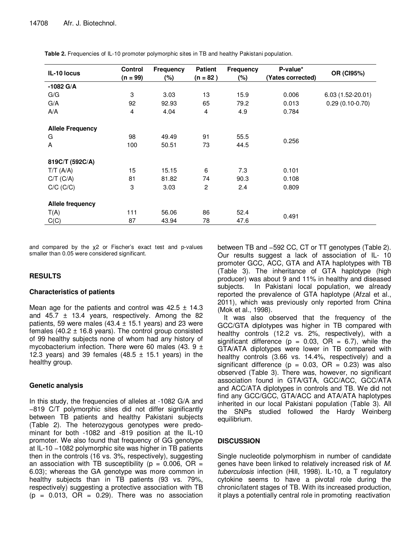| IL-10 locus             | <b>Control</b> | Frequency | <b>Patient</b> | <b>Frequency</b> | P-value*          | OR (CI95%)         |
|-------------------------|----------------|-----------|----------------|------------------|-------------------|--------------------|
|                         | (n = 99)       | (%)       | $(n = 82)$     | $(\%)$           | (Yates corrected) |                    |
| $-1082$ G/A             |                |           |                |                  |                   |                    |
| G/G                     | 3              | 3.03      | 13             | 15.9             | 0.006             | $6.03(1.52-20.01)$ |
| G/A                     | 92             | 92.93     | 65             | 79.2             | 0.013             | $0.29(0.10-0.70)$  |
| A/A                     | $\overline{4}$ | 4.04      | 4              | 4.9              | 0.784             |                    |
| <b>Allele Frequency</b> |                |           |                |                  |                   |                    |
| G                       | 98             | 49.49     | 91             | 55.5             |                   |                    |
| A                       | 100            | 50.51     | 73             | 44.5             | 0.256             |                    |
|                         |                |           |                |                  |                   |                    |
| 819C/T (592C/A)         |                |           |                |                  |                   |                    |
| $T/T$ (A/A)             | 15             | 15.15     | 6              | 7.3              | 0.101             |                    |
| $C/T$ ( $C/A$ )         | 81             | 81.82     | 74             | 90.3             | 0.108             |                    |
| $C/C$ $(C/C)$           | 3              | 3.03      | 2              | 2.4              | 0.809             |                    |
| <b>Allele frequency</b> |                |           |                |                  |                   |                    |
| T(A)                    | 111            | 56.06     | 86             | 52.4             |                   |                    |
|                         |                |           |                |                  | 0.491             |                    |
| C(C)                    | 87             | 43.94     | 78             | 47.6             |                   |                    |

**Table 2.** Frequencies of IL-10 promoter polymorphic sites in TB and healthy Pakistani population.

and compared by the χ2 or Fischer's exact test and p-values smaller than 0.05 were considered significant.

## **RESULTS**

## **Characteristics of patients**

Mean age for the patients and control was  $42.5 \pm 14.3$ and  $45.7 \pm 13.4$  years, respectively. Among the 82 patients, 59 were males (43.4  $\pm$  15.1 years) and 23 were females (40.2  $\pm$  16.8 years). The control group consisted of 99 healthy subjects none of whom had any history of mycobacterium infection. There were 60 males (43. 9  $\pm$ 12.3 years) and 39 females (48.5  $\pm$  15.1 years) in the healthy group.

## **Genetic analysis**

In this study, the frequencies of alleles at -1082 G/A and −819 C/T polymorphic sites did not differ significantly between TB patients and healthy Pakistani subjects (Table 2). The heterozygous genotypes were predominant for both -1082 and -819 position at the IL-10 promoter. We also found that frequency of GG genotype at IL-10 −1082 polymorphic site was higher in TB patients then in the controls (16 vs. 3%, respectively), suggesting an association with TB susceptibility ( $p = 0.006$ , OR = 6.03); whereas the GA genotype was more common in healthy subjects than in TB patients (93 vs*.* 79%, respectively) suggesting a protective association with TB  $(p = 0.013, \text{ OR } = 0.29)$ . There was no association

between TB and −592 CC, CT or TT genotypes (Table 2). Our results suggest a lack of association of IL- 10 promoter GCC, ACC, GTA and ATA haplotypes with TB (Table 3). The inheritance of GTA haplotype (high producer) was about 9 and 11% in healthy and diseased subjects. In Pakistani local population, we already reported the prevalence of GTA haplotype (Afzal et al., 2011), which was previously only reported from China (Mok et al., 1998).

It was also observed that the frequency of the GCC/GTA diplotypes was higher in TB compared with healthy controls (12.2 vs. 2%, respectively), with a significant difference ( $p = 0.03$ , OR = 6.7), while the GTA/ATA diplotypes were lower in TB compared with healthy controls (3.66 vs. 14.4%, respectively) and a significant difference ( $p = 0.03$ , OR = 0.23) was also observed (Table 3). There was, however, no significant association found in GTA/GTA, GCC/ACC, GCC/ATA and ACC/ATA diplotypes in controls and TB. We did not find any GCC/GCC, GTA/ACC and ATA/ATA haplotypes inherited in our local Pakistani population (Table 3). All the SNPs studied followed the Hardy Weinberg equilibrium.

## **DISCUSSION**

Single nucleotide polymorphism in number of candidate genes have been linked to relatively increased risk of *M. tuberculosis* infection (Hill, 1998). IL-10, a T regulatory cytokine seems to have a pivotal role during the chronic/latent stages of TB. With its increased production, it plays a potentially central role in promoting reactivation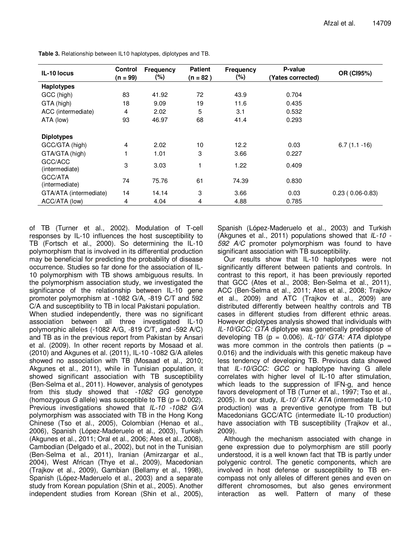| IL-10 locus               | <b>Control</b><br>$(n = 99)$ | <b>Frequency</b><br>(%) | <b>Patient</b><br>(n = 82 ) | <b>Frequency</b><br>$(\%)$ | P-value<br>(Yates corrected) | OR (CI95%)        |
|---------------------------|------------------------------|-------------------------|-----------------------------|----------------------------|------------------------------|-------------------|
| <b>Haplotypes</b>         |                              |                         |                             |                            |                              |                   |
| GCC (high)                | 83                           | 41.92                   | 72                          | 43.9                       | 0.704                        |                   |
| GTA (high)                | 18                           | 9.09                    | 19                          | 11.6                       | 0.435                        |                   |
| ACC (intermediate)        | 4                            | 2.02                    | 5                           | 3.1                        | 0.532                        |                   |
| ATA (low)                 | 93                           | 46.97                   | 68                          | 41.4                       | 0.293                        |                   |
| <b>Diplotypes</b>         |                              |                         |                             |                            |                              |                   |
| GCC/GTA (high)            | $\overline{4}$               | 2.02                    | 10                          | 12.2                       | 0.03                         | $6.7(1.1 - 16)$   |
| GTA/GTA (high)            |                              | 1.01                    | 3                           | 3.66                       | 0.227                        |                   |
| GCC/ACC<br>(intermediate) | 3                            | 3.03                    | 1                           | 1.22                       | 0.409                        |                   |
| GCC/ATA<br>(intermediate) | 74                           | 75.76                   | 61                          | 74.39                      | 0.830                        |                   |
| GTA/ATA (intermediate)    | 14                           | 14.14                   | 3                           | 3.66                       | 0.03                         | $0.23(0.06-0.83)$ |
| ACC/ATA (low)             | 4                            | 4.04                    | 4                           | 4.88                       | 0.785                        |                   |

**Table 3.** Relationship between IL10 haplotypes, diplotypes and TB.

of TB (Turner et al., 2002). Modulation of T-cell responses by IL-10 influences the host susceptibility to TB (Fortsch et al., 2000). So determining the IL-10 polymorphism that is involved in its differential production may be beneficial for predicting the probability of disease occurrence. Studies so far done for the association of IL-10 polymorphism with TB shows ambiguous results. In the polymorphism association study, we investigated the significance of the relationship between IL-10 gene promoter polymorphism at -1082 G/A, -819 C/T and 592 C/A and susceptibility to TB in local Pakistani population. When studied independently, there was no significant association between all three investigated IL-10 polymorphic alleles (-1082 A/G, -819 C/T, and -592 A/C) and TB as in the previous report from Pakistan by Ansari et al. (2009). In other recent reports by Mosaad et al. (2010) and Akgunes et al. (2011), IL-10 -1082 G/A alleles showed no association with TB (Mosaad et al., 2010; Akgunes et al., 2011), while in Tunisian population, it showed significant association with TB susceptibility (Ben-Selma et al., 2011). However, analysis of genotypes from this study showed that *-1082 GG* genotype (homozygous *G* allele) was susceptible to TB ( $p = 0.002$ ). Previous investigations showed that *IL-10 -1082 G/A* polymorphism was associated with TB in the Hong Kong Chinese (Tso et al., 2005), Colombian (Henao et al., 2006), Spanish (López-Maderuelo et al., 2003), Turkish (Akgunes et al., 2011; Oral et al., 2006; Ates et al., 2008), Cambodian (Delgado et al., 2002), but not in the Tunisian (Ben-Selma et al., 2011), Iranian (Amirzargar et al., 2004), West African (Thye et al., 2009), Macedonian (Trajkov et al., 2009), Gambian (Bellamy et al., 1998), Spanish (López-Maderuelo et al., 2003) and a separate study from Korean population (Shin et al., 2005). Another independent studies from Korean (Shin et al., 2005), Spanish (López-Maderuelo et al., 2003) and Turkish (Akgunes et al., 2011) populations showed that *IL-10 - 592 A/C* promoter polymorphism was found to have significant association with TB susceptibility.

Our results show that IL-10 haplotypes were not significantly different between patients and controls. In contrast to this report, it has been previously reported that GCC (Ates et al., 2008; Ben-Selma et al., 2011), ACC (Ben-Selma et al., 2011; Ates et al., 2008; Trajkov et al., 2009) and ATC (Trajkov et al., 2009) are distributed differently between healthy controls and TB cases in different studies from different ethnic areas. However diplotypes analysis showed that individuals with *IL-10/GCC: GTA* diplotype was genetically predispose of developing TB (p = 0.006). *IL-10/ GTA: ATA* diplotype was more common in the controls then patients ( $p =$ 0.016) and the individuals with this genetic makeup have less tendency of developing TB. Previous data showed that *IL-10/GCC: GCC* or haplotype having G allele correlates with higher level of IL-10 after stimulation, which leads to the suppression of IFN-g, and hence favors development of TB (Turner et al., 1997; Tso et al., 2005). In our study, *IL-10/ GTA: ATA* (intermediate IL-10 production) was a preventive genotype from TB but Macedonians GCC/ATC (intermediate IL-10 production) have association with TB susceptibility (Trajkov et al., 2009).

Although the mechanism associated with change in gene expression due to polymorphism are still poorly understood, it is a well known fact that TB is partly under polygenic control. The genetic components, which are involved in host defense or susceptibility to TB encompass not only alleles of different genes and even on different chromosomes, but also genes environment interaction as well. Pattern of many of these